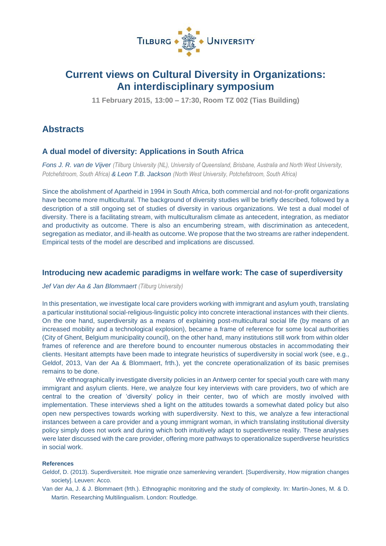

# **Current views on Cultural Diversity in Organizations: An interdisciplinary symposium**

**11 February 2015, 13:00 – 17:30, Room TZ 002 (Tias Building)**

## **Abstracts**

## **A dual model of diversity: Applications in South Africa**

*Fons J. R. van de Vijver (Tilburg University (NL), University of Queensland, Brisbane, Australia and North West University, Potchefstroom, South Africa) & Leon T.B. Jackson (North West University, Potchefstroom, South Africa)*

Since the abolishment of Apartheid in 1994 in South Africa, both commercial and not-for-profit organizations have become more multicultural. The background of diversity studies will be briefly described, followed by a description of a still ongoing set of studies of diversity in various organizations. We test a dual model of diversity. There is a facilitating stream, with multiculturalism climate as antecedent, integration, as mediator and productivity as outcome. There is also an encumbering stream, with discrimination as antecedent, segregation as mediator, and ill-health as outcome. We propose that the two streams are rather independent. Empirical tests of the model are described and implications are discussed.

## **Introducing new academic paradigms in welfare work: The case of superdiversity**

*Jef Van der Aa & Jan Blommaert (Tilburg University)*

In this presentation, we investigate local care providers working with immigrant and asylum youth, translating a particular institutional social-religious-linguistic policy into concrete interactional instances with their clients. On the one hand, superdiversity as a means of explaining post-multicultural social life (by means of an increased mobility and a technological explosion), became a frame of reference for some local authorities (City of Ghent, Belgium municipality council), on the other hand, many institutions still work from within older frames of reference and are therefore bound to encounter numerous obstacles in accommodating their clients. Hesitant attempts have been made to integrate heuristics of superdiversity in social work (see, e.g., Geldof, 2013, Van der Aa & Blommaert, frth.), yet the concrete operationalization of its basic premises remains to be done.

We ethnographically investigate diversity policies in an Antwerp center for special youth care with many immigrant and asylum clients. Here, we analyze four key interviews with care providers, two of which are central to the creation of 'diversity' policy in their center, two of which are mostly involved with implementation. These interviews shed a light on the attitudes towards a somewhat dated policy but also open new perspectives towards working with superdiversity. Next to this, we analyze a few interactional instances between a care provider and a young immigrant woman, in which translating institutional diversity policy simply does not work and during which both intuitively adapt to superdiverse reality. These analyses were later discussed with the care provider, offering more pathways to operationalize superdiverse heuristics in social work.

#### **References**

- Geldof, D. (2013). Superdiversiteit. Hoe migratie onze samenleving verandert. [Superdiversity, How migration changes society]. Leuven: Acco.
- Van der Aa, J. & J. Blommaert (frth.). Ethnographic monitoring and the study of complexity. In: Martin-Jones, M. & D. Martin. Researching Multilingualism. London: Routledge.